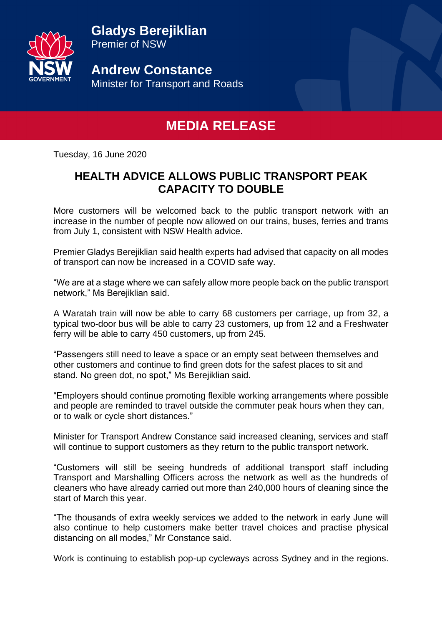**Gladys Berejiklian** Premier of NSW



**Andrew Constance** Minister for Transport and Roads

## **MEDIA RELEASE**

Tuesday, 16 June 2020

## **HEALTH ADVICE ALLOWS PUBLIC TRANSPORT PEAK CAPACITY TO DOUBLE**

More customers will be welcomed back to the public transport network with an increase in the number of people now allowed on our trains, buses, ferries and trams from July 1, consistent with NSW Health advice.

Premier Gladys Berejiklian said health experts had advised that capacity on all modes of transport can now be increased in a COVID safe way.

"We are at a stage where we can safely allow more people back on the public transport network," Ms Berejiklian said.

A Waratah train will now be able to carry 68 customers per carriage, up from 32, a typical two-door bus will be able to carry 23 customers, up from 12 and a Freshwater ferry will be able to carry 450 customers, up from 245.

"Passengers still need to leave a space or an empty seat between themselves and other customers and continue to find green dots for the safest places to sit and stand. No green dot, no spot," Ms Berejiklian said.

"Employers should continue promoting flexible working arrangements where possible and people are reminded to travel outside the commuter peak hours when they can, or to walk or cycle short distances."

Minister for Transport Andrew Constance said increased cleaning, services and staff will continue to support customers as they return to the public transport network.

"Customers will still be seeing hundreds of additional transport staff including Transport and Marshalling Officers across the network as well as the hundreds of cleaners who have already carried out more than 240,000 hours of cleaning since the start of March this year.

"The thousands of extra weekly services we added to the network in early June will also continue to help customers make better travel choices and practise physical distancing on all modes," Mr Constance said.

Work is continuing to establish pop-up cycleways across Sydney and in the regions.